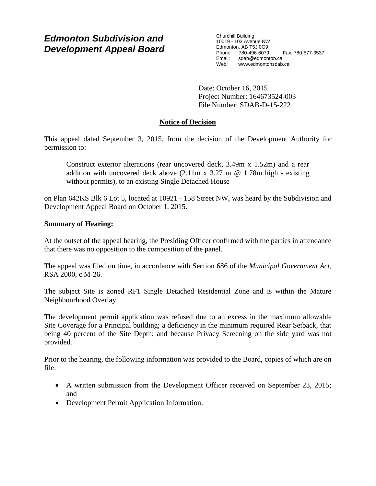# *Edmonton Subdivision and Development Appeal Board*

Churchill Building 10019 - 103 Avenue NW Edmonton, AB T5J 0G9 Phone: 780-496-6079 Fax: 780-577-3537 Email: sdab@edmonton.ca<br>Web: www.edmonton.ca Web: www.edmontonsdab.ca

Date: October 16, 2015 Project Number: 164673524-003 File Number: SDAB-D-15-222

## **Notice of Decision**

This appeal dated September 3, 2015, from the decision of the Development Authority for permission to:

Construct exterior alterations (rear uncovered deck, 3.49m x 1.52m) and a rear addition with uncovered deck above  $(2.11m \times 3.27m \omega 1.78m \text{ high} - \text{existing})$ without permits), to an existing Single Detached House

on Plan 642KS Blk 6 Lot 5, located at 10921 - 158 Street NW, was heard by the Subdivision and Development Appeal Board on October 1, 2015.

## **Summary of Hearing:**

At the outset of the appeal hearing, the Presiding Officer confirmed with the parties in attendance that there was no opposition to the composition of the panel.

The appeal was filed on time, in accordance with Section 686 of the *Municipal Government Act*, RSA 2000, c M-26.

The subject Site is zoned RF1 Single Detached Residential Zone and is within the Mature Neighbourhood Overlay.

The development permit application was refused due to an excess in the maximum allowable Site Coverage for a Principal building; a deficiency in the minimum required Rear Setback, that being 40 percent of the Site Depth; and because Privacy Screening on the side yard was not provided.

Prior to the hearing, the following information was provided to the Board, copies of which are on file:

- A written submission from the Development Officer received on September 23, 2015; and
- Development Permit Application Information.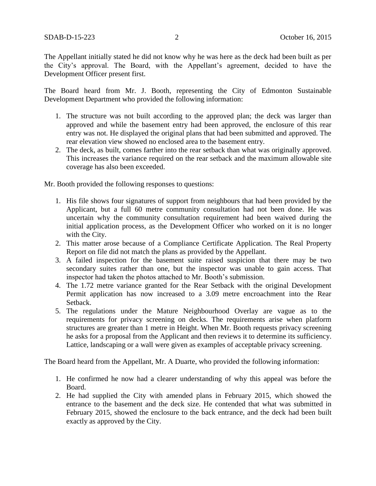The Appellant initially stated he did not know why he was here as the deck had been built as per the City's approval. The Board, with the Appellant's agreement, decided to have the Development Officer present first.

The Board heard from Mr. J. Booth, representing the City of Edmonton Sustainable Development Department who provided the following information:

- 1. The structure was not built according to the approved plan; the deck was larger than approved and while the basement entry had been approved, the enclosure of this rear entry was not. He displayed the original plans that had been submitted and approved. The rear elevation view showed no enclosed area to the basement entry.
- 2. The deck, as built, comes farther into the rear setback than what was originally approved. This increases the variance required on the rear setback and the maximum allowable site coverage has also been exceeded.

Mr. Booth provided the following responses to questions:

- 1. His file shows four signatures of support from neighbours that had been provided by the Applicant, but a full 60 metre community consultation had not been done. He was uncertain why the community consultation requirement had been waived during the initial application process, as the Development Officer who worked on it is no longer with the City.
- 2. This matter arose because of a Compliance Certificate Application. The Real Property Report on file did not match the plans as provided by the Appellant.
- 3. A failed inspection for the basement suite raised suspicion that there may be two secondary suites rather than one, but the inspector was unable to gain access. That inspector had taken the photos attached to Mr. Booth's submission.
- 4. The 1.72 metre variance granted for the Rear Setback with the original Development Permit application has now increased to a 3.09 metre encroachment into the Rear Setback.
- 5. The regulations under the Mature Neighbourhood Overlay are vague as to the requirements for privacy screening on decks. The requirements arise when platform structures are greater than 1 metre in Height. When Mr. Booth requests privacy screening he asks for a proposal from the Applicant and then reviews it to determine its sufficiency. Lattice, landscaping or a wall were given as examples of acceptable privacy screening.

The Board heard from the Appellant, Mr. A Duarte, who provided the following information:

- 1. He confirmed he now had a clearer understanding of why this appeal was before the Board.
- 2. He had supplied the City with amended plans in February 2015, which showed the entrance to the basement and the deck size. He contended that what was submitted in February 2015, showed the enclosure to the back entrance, and the deck had been built exactly as approved by the City.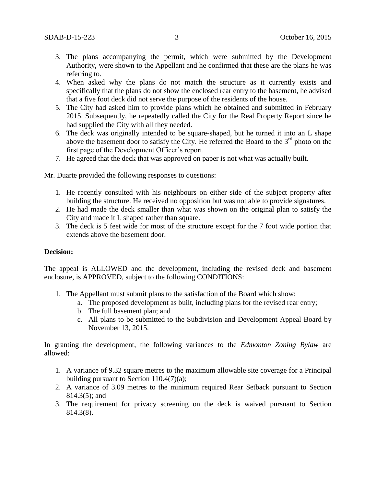- 3. The plans accompanying the permit, which were submitted by the Development Authority, were shown to the Appellant and he confirmed that these are the plans he was referring to.
- 4. When asked why the plans do not match the structure as it currently exists and specifically that the plans do not show the enclosed rear entry to the basement, he advised that a five foot deck did not serve the purpose of the residents of the house.
- 5. The City had asked him to provide plans which he obtained and submitted in February 2015. Subsequently, he repeatedly called the City for the Real Property Report since he had supplied the City with all they needed.
- 6. The deck was originally intended to be square-shaped, but he turned it into an L shape above the basement door to satisfy the City. He referred the Board to the  $3<sup>rd</sup>$  photo on the first page of the Development Officer's report.
- 7. He agreed that the deck that was approved on paper is not what was actually built.

Mr. Duarte provided the following responses to questions:

- 1. He recently consulted with his neighbours on either side of the subject property after building the structure. He received no opposition but was not able to provide signatures.
- 2. He had made the deck smaller than what was shown on the original plan to satisfy the City and made it L shaped rather than square.
- 3. The deck is 5 feet wide for most of the structure except for the 7 foot wide portion that extends above the basement door.

#### **Decision:**

The appeal is ALLOWED and the development, including the revised deck and basement enclosure, is APPROVED, subject to the following CONDITIONS:

- 1. The Appellant must submit plans to the satisfaction of the Board which show:
	- a. The proposed development as built, including plans for the revised rear entry;
	- b. The full basement plan; and
	- c. All plans to be submitted to the Subdivision and Development Appeal Board by November 13, 2015.

In granting the development, the following variances to the *Edmonton Zoning Bylaw* are allowed:

- 1. A variance of 9.32 square metres to the maximum allowable site coverage for a Principal building pursuant to Section 110.4(7)(a);
- 2. A variance of 3.09 metres to the minimum required Rear Setback pursuant to Section 814.3(5); and
- 3. The requirement for privacy screening on the deck is waived pursuant to Section 814.3(8).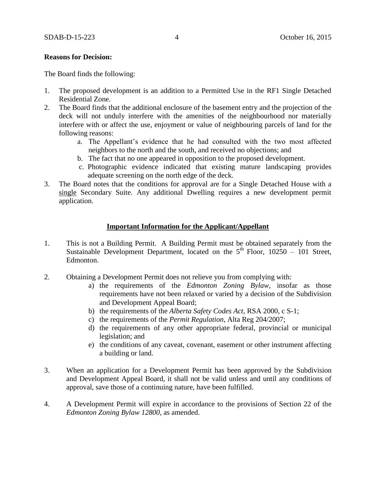#### **Reasons for Decision:**

The Board finds the following:

- 1. The proposed development is an addition to a Permitted Use in the RF1 Single Detached Residential Zone.
- 2. The Board finds that the additional enclosure of the basement entry and the projection of the deck will not unduly interfere with the amenities of the neighbourhood nor materially interfere with or affect the use, enjoyment or value of neighbouring parcels of land for the following reasons:
	- a. The Appellant's evidence that he had consulted with the two most affected neighbors to the north and the south, and received no objections; and
	- b. The fact that no one appeared in opposition to the proposed development.
	- c. Photographic evidence indicated that existing mature landscaping provides adequate screening on the north edge of the deck.
- 3. The Board notes that the conditions for approval are for a Single Detached House with a single Secondary Suite. Any additional Dwelling requires a new development permit application.

#### **Important Information for the Applicant/Appellant**

- 1. This is not a Building Permit. A Building Permit must be obtained separately from the Sustainable Development Department, located on the  $5<sup>th</sup>$  Floor, 10250 – 101 Street, Edmonton.
- 2. Obtaining a Development Permit does not relieve you from complying with:
	- a) the requirements of the *Edmonton Zoning Bylaw*, insofar as those requirements have not been relaxed or varied by a decision of the Subdivision and Development Appeal Board;
	- b) the requirements of the *Alberta Safety Codes Act*, RSA 2000, c S-1;
	- c) the requirements of the *Permit Regulation*, Alta Reg 204/2007;
	- d) the requirements of any other appropriate federal, provincial or municipal legislation; and
	- e) the conditions of any caveat, covenant, easement or other instrument affecting a building or land.
- 3. When an application for a Development Permit has been approved by the Subdivision and Development Appeal Board, it shall not be valid unless and until any conditions of approval, save those of a continuing nature, have been fulfilled.
- 4. A Development Permit will expire in accordance to the provisions of Section 22 of the *Edmonton Zoning Bylaw 12800*, as amended.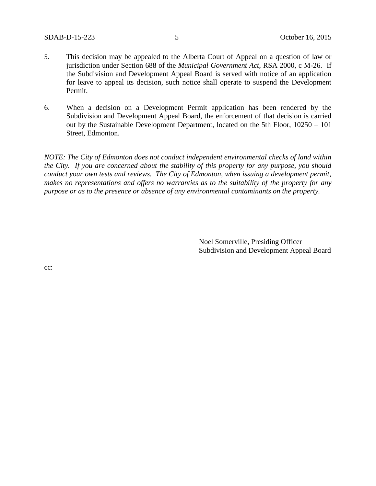- 5. This decision may be appealed to the Alberta Court of Appeal on a question of law or jurisdiction under Section 688 of the *Municipal Government Act*, RSA 2000, c M-26. If the Subdivision and Development Appeal Board is served with notice of an application for leave to appeal its decision, such notice shall operate to suspend the Development Permit.
- 6. When a decision on a Development Permit application has been rendered by the Subdivision and Development Appeal Board, the enforcement of that decision is carried out by the Sustainable Development Department, located on the 5th Floor, 10250 – 101 Street, Edmonton.

*NOTE: The City of Edmonton does not conduct independent environmental checks of land within the City. If you are concerned about the stability of this property for any purpose, you should conduct your own tests and reviews. The City of Edmonton, when issuing a development permit, makes no representations and offers no warranties as to the suitability of the property for any purpose or as to the presence or absence of any environmental contaminants on the property.*

> Noel Somerville, Presiding Officer Subdivision and Development Appeal Board

cc: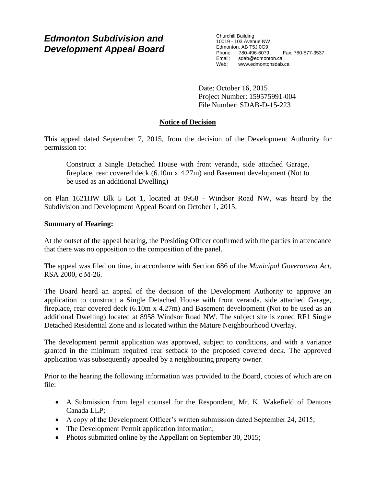# *Edmonton Subdivision and Development Appeal Board*

Churchill Building 10019 - 103 Avenue NW Edmonton, AB T5J 0G9 Phone: 780-496-6079 Fax: 780-577-3537 Email: sdab@edmonton.ca<br>Web: www.edmonton.ca Web: www.edmontonsdab.ca

Date: October 16, 2015 Project Number: 159575991-004 File Number: SDAB-D-15-223

## **Notice of Decision**

This appeal dated September 7, 2015, from the decision of the Development Authority for permission to:

Construct a Single Detached House with front veranda, side attached Garage, fireplace, rear covered deck (6.10m x 4.27m) and Basement development (Not to be used as an additional Dwelling)

on Plan 1621HW Blk 5 Lot 1, located at 8958 - Windsor Road NW, was heard by the Subdivision and Development Appeal Board on October 1, 2015.

## **Summary of Hearing:**

At the outset of the appeal hearing, the Presiding Officer confirmed with the parties in attendance that there was no opposition to the composition of the panel.

The appeal was filed on time, in accordance with Section 686 of the *Municipal Government Act*, RSA 2000, c M-26.

The Board heard an appeal of the decision of the Development Authority to approve an application to construct a Single Detached House with front veranda, side attached Garage, fireplace, rear covered deck (6.10m x 4.27m) and Basement development (Not to be used as an additional Dwelling) located at 8958 Windsor Road NW. The subject site is zoned RF1 Single Detached Residential Zone and is located within the Mature Neighbourhood Overlay.

The development permit application was approved, subject to conditions, and with a variance granted in the minimum required rear setback to the proposed covered deck. The approved application was subsequently appealed by a neighbouring property owner.

Prior to the hearing the following information was provided to the Board, copies of which are on file:

- A Submission from legal counsel for the Respondent, Mr. K. Wakefield of Dentons Canada LLP;
- A copy of the Development Officer's written submission dated September 24, 2015;
- The Development Permit application information;
- Photos submitted online by the Appellant on September 30, 2015;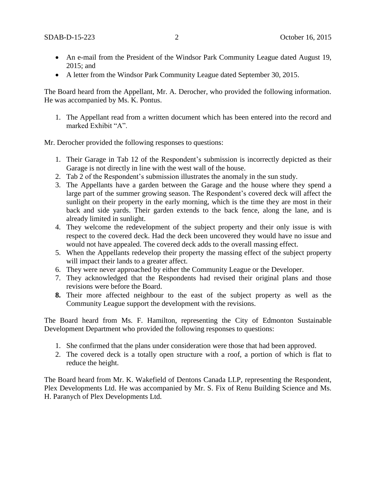- An e-mail from the President of the Windsor Park Community League dated August 19, 2015; and
- A letter from the Windsor Park Community League dated September 30, 2015.

The Board heard from the Appellant, Mr. A. Derocher, who provided the following information. He was accompanied by Ms. K. Pontus.

1. The Appellant read from a written document which has been entered into the record and marked Exhibit "A".

Mr. Derocher provided the following responses to questions:

- 1. Their Garage in Tab 12 of the Respondent's submission is incorrectly depicted as their Garage is not directly in line with the west wall of the house.
- 2. Tab 2 of the Respondent's submission illustrates the anomaly in the sun study.
- 3. The Appellants have a garden between the Garage and the house where they spend a large part of the summer growing season. The Respondent's covered deck will affect the sunlight on their property in the early morning, which is the time they are most in their back and side yards. Their garden extends to the back fence, along the lane, and is already limited in sunlight.
- 4. They welcome the redevelopment of the subject property and their only issue is with respect to the covered deck. Had the deck been uncovered they would have no issue and would not have appealed. The covered deck adds to the overall massing effect.
- 5. When the Appellants redevelop their property the massing effect of the subject property will impact their lands to a greater affect.
- 6. They were never approached by either the Community League or the Developer.
- 7. They acknowledged that the Respondents had revised their original plans and those revisions were before the Board.
- **8.** Their more affected neighbour to the east of the subject property as well as the Community League support the development with the revisions.

The Board heard from Ms. F. Hamilton, representing the City of Edmonton Sustainable Development Department who provided the following responses to questions:

- 1. She confirmed that the plans under consideration were those that had been approved.
- 2. The covered deck is a totally open structure with a roof, a portion of which is flat to reduce the height.

The Board heard from Mr. K. Wakefield of Dentons Canada LLP, representing the Respondent, Plex Developments Ltd. He was accompanied by Mr. S. Fix of Renu Building Science and Ms. H. Paranych of Plex Developments Ltd.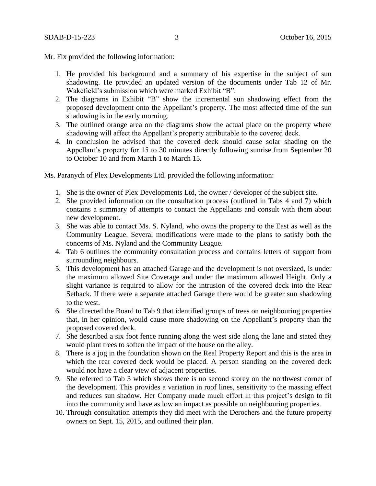Mr. Fix provided the following information:

- 1. He provided his background and a summary of his expertise in the subject of sun shadowing. He provided an updated version of the documents under Tab 12 of Mr. Wakefield's submission which were marked Exhibit "B".
- 2. The diagrams in Exhibit "B" show the incremental sun shadowing effect from the proposed development onto the Appellant's property. The most affected time of the sun shadowing is in the early morning.
- 3. The outlined orange area on the diagrams show the actual place on the property where shadowing will affect the Appellant's property attributable to the covered deck.
- 4. In conclusion he advised that the covered deck should cause solar shading on the Appellant's property for 15 to 30 minutes directly following sunrise from September 20 to October 10 and from March 1 to March 15.

Ms. Paranych of Plex Developments Ltd. provided the following information:

- 1. She is the owner of Plex Developments Ltd, the owner / developer of the subject site.
- 2. She provided information on the consultation process (outlined in Tabs 4 and 7) which contains a summary of attempts to contact the Appellants and consult with them about new development.
- 3. She was able to contact Ms. S. Nyland, who owns the property to the East as well as the Community League. Several modifications were made to the plans to satisfy both the concerns of Ms. Nyland and the Community League.
- 4. Tab 6 outlines the community consultation process and contains letters of support from surrounding neighbours.
- 5. This development has an attached Garage and the development is not oversized, is under the maximum allowed Site Coverage and under the maximum allowed Height. Only a slight variance is required to allow for the intrusion of the covered deck into the Rear Setback. If there were a separate attached Garage there would be greater sun shadowing to the west.
- 6. She directed the Board to Tab 9 that identified groups of trees on neighbouring properties that, in her opinion, would cause more shadowing on the Appellant's property than the proposed covered deck.
- 7. She described a six foot fence running along the west side along the lane and stated they would plant trees to soften the impact of the house on the alley.
- 8. There is a jog in the foundation shown on the Real Property Report and this is the area in which the rear covered deck would be placed. A person standing on the covered deck would not have a clear view of adjacent properties.
- 9. She referred to Tab 3 which shows there is no second storey on the northwest corner of the development. This provides a variation in roof lines, sensitivity to the massing effect and reduces sun shadow. Her Company made much effort in this project's design to fit into the community and have as low an impact as possible on neighbouring properties.
- 10. Through consultation attempts they did meet with the Derochers and the future property owners on Sept. 15, 2015, and outlined their plan.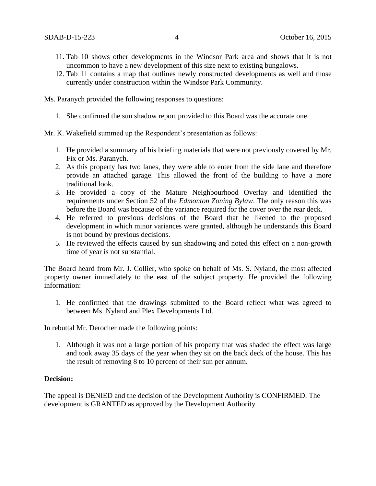- 11. Tab 10 shows other developments in the Windsor Park area and shows that it is not uncommon to have a new development of this size next to existing bungalows.
- 12. Tab 11 contains a map that outlines newly constructed developments as well and those currently under construction within the Windsor Park Community.

Ms. Paranych provided the following responses to questions:

- 1. She confirmed the sun shadow report provided to this Board was the accurate one.
- Mr. K. Wakefield summed up the Respondent's presentation as follows:
	- 1. He provided a summary of his briefing materials that were not previously covered by Mr. Fix or Ms. Paranych.
	- 2. As this property has two lanes, they were able to enter from the side lane and therefore provide an attached garage. This allowed the front of the building to have a more traditional look.
	- 3. He provided a copy of the Mature Neighbourhood Overlay and identified the requirements under Section 52 of the *Edmonton Zoning Bylaw*. The only reason this was before the Board was because of the variance required for the cover over the rear deck.
	- 4. He referred to previous decisions of the Board that he likened to the proposed development in which minor variances were granted, although he understands this Board is not bound by previous decisions.
	- 5. He reviewed the effects caused by sun shadowing and noted this effect on a non-growth time of year is not substantial.

The Board heard from Mr. J. Collier, who spoke on behalf of Ms. S. Nyland, the most affected property owner immediately to the east of the subject property. He provided the following information:

1. He confirmed that the drawings submitted to the Board reflect what was agreed to between Ms. Nyland and Plex Developments Ltd.

In rebuttal Mr. Derocher made the following points:

1. Although it was not a large portion of his property that was shaded the effect was large and took away 35 days of the year when they sit on the back deck of the house. This has the result of removing 8 to 10 percent of their sun per annum.

#### **Decision:**

The appeal is DENIED and the decision of the Development Authority is CONFIRMED. The development is GRANTED as approved by the Development Authority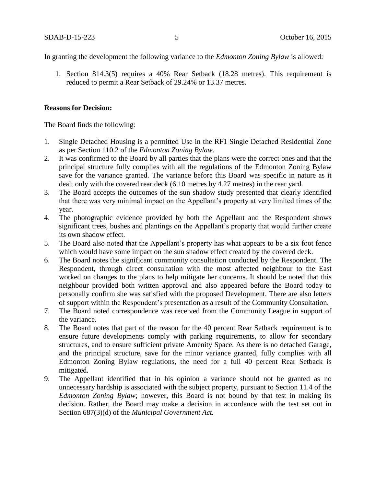In granting the development the following variance to the *Edmonton Zoning Bylaw* is allowed:

1. Section 814.3(5) requires a 40% Rear Setback (18.28 metres). This requirement is reduced to permit a Rear Setback of 29.24% or 13.37 metres.

### **Reasons for Decision:**

The Board finds the following:

- 1. Single Detached Housing is a permitted Use in the RF1 Single Detached Residential Zone as per Section 110.2 of the *Edmonton Zoning Bylaw*.
- 2. It was confirmed to the Board by all parties that the plans were the correct ones and that the principal structure fully complies with all the regulations of the Edmonton Zoning Bylaw save for the variance granted. The variance before this Board was specific in nature as it dealt only with the covered rear deck (6.10 metres by 4.27 metres) in the rear yard.
- 3. The Board accepts the outcomes of the sun shadow study presented that clearly identified that there was very minimal impact on the Appellant's property at very limited times of the year.
- 4. The photographic evidence provided by both the Appellant and the Respondent shows significant trees, bushes and plantings on the Appellant's property that would further create its own shadow effect.
- 5. The Board also noted that the Appellant's property has what appears to be a six foot fence which would have some impact on the sun shadow effect created by the covered deck.
- 6. The Board notes the significant community consultation conducted by the Respondent. The Respondent, through direct consultation with the most affected neighbour to the East worked on changes to the plans to help mitigate her concerns. It should be noted that this neighbour provided both written approval and also appeared before the Board today to personally confirm she was satisfied with the proposed Development. There are also letters of support within the Respondent's presentation as a result of the Community Consultation.
- 7. The Board noted correspondence was received from the Community League in support of the variance.
- 8. The Board notes that part of the reason for the 40 percent Rear Setback requirement is to ensure future developments comply with parking requirements, to allow for secondary structures, and to ensure sufficient private Amenity Space. As there is no detached Garage, and the principal structure, save for the minor variance granted, fully complies with all Edmonton Zoning Bylaw regulations, the need for a full 40 percent Rear Setback is mitigated.
- 9. The Appellant identified that in his opinion a variance should not be granted as no unnecessary hardship is associated with the subject property, pursuant to Section 11.4 of the *Edmonton Zoning Bylaw*; however, this Board is not bound by that test in making its decision. Rather, the Board may make a decision in accordance with the test set out in Section 687(3)(d) of the *Municipal Government Act.*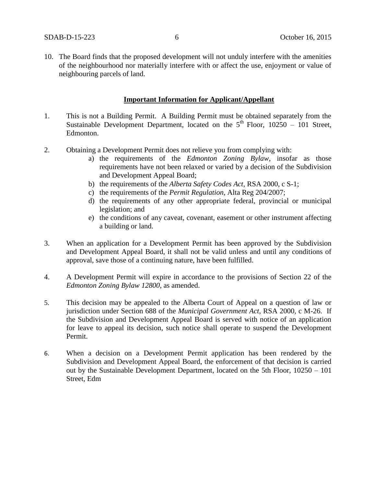10. The Board finds that the proposed development will not unduly interfere with the amenities of the neighbourhood nor materially interfere with or affect the use, enjoyment or value of neighbouring parcels of land.

### **Important Information for Applicant/Appellant**

- 1. This is not a Building Permit. A Building Permit must be obtained separately from the Sustainable Development Department, located on the  $5<sup>th</sup>$  Floor, 10250 – 101 Street, Edmonton.
- 2. Obtaining a Development Permit does not relieve you from complying with:
	- a) the requirements of the *Edmonton Zoning Bylaw*, insofar as those requirements have not been relaxed or varied by a decision of the Subdivision and Development Appeal Board;
	- b) the requirements of the *Alberta Safety Codes Act*, RSA 2000, c S-1;
	- c) the requirements of the *Permit Regulation*, Alta Reg 204/2007;
	- d) the requirements of any other appropriate federal, provincial or municipal legislation; and
	- e) the conditions of any caveat, covenant, easement or other instrument affecting a building or land.
- 3. When an application for a Development Permit has been approved by the Subdivision and Development Appeal Board, it shall not be valid unless and until any conditions of approval, save those of a continuing nature, have been fulfilled.
- 4. A Development Permit will expire in accordance to the provisions of Section 22 of the *Edmonton Zoning Bylaw 12800*, as amended.
- 5. This decision may be appealed to the Alberta Court of Appeal on a question of law or jurisdiction under Section 688 of the *Municipal Government Act*, RSA 2000, c M-26. If the Subdivision and Development Appeal Board is served with notice of an application for leave to appeal its decision, such notice shall operate to suspend the Development Permit.
- 6. When a decision on a Development Permit application has been rendered by the Subdivision and Development Appeal Board, the enforcement of that decision is carried out by the Sustainable Development Department, located on the 5th Floor, 10250 – 101 Street, Edm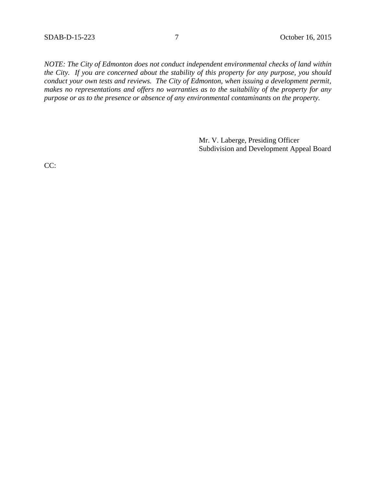*NOTE: The City of Edmonton does not conduct independent environmental checks of land within the City. If you are concerned about the stability of this property for any purpose, you should conduct your own tests and reviews. The City of Edmonton, when issuing a development permit, makes no representations and offers no warranties as to the suitability of the property for any purpose or as to the presence or absence of any environmental contaminants on the property.*

> Mr. V. Laberge, Presiding Officer Subdivision and Development Appeal Board

CC: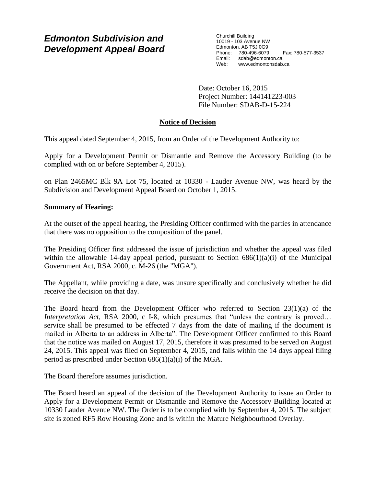# *Edmonton Subdivision and Development Appeal Board*

Churchill Building 10019 - 103 Avenue NW Edmonton, AB T5J 0G9 Phone: 780-496-6079 Fax: 780-577-3537 Email: sdab@edmonton.ca Web: www.edmontonsdab.ca

Date: October 16, 2015 Project Number: 144141223-003 File Number: SDAB-D-15-224

## **Notice of Decision**

This appeal dated September 4, 2015, from an Order of the Development Authority to:

Apply for a Development Permit or Dismantle and Remove the Accessory Building (to be complied with on or before September 4, 2015).

on Plan 2465MC Blk 9A Lot 75, located at 10330 - Lauder Avenue NW, was heard by the Subdivision and Development Appeal Board on October 1, 2015.

### **Summary of Hearing:**

At the outset of the appeal hearing, the Presiding Officer confirmed with the parties in attendance that there was no opposition to the composition of the panel.

The Presiding Officer first addressed the issue of jurisdiction and whether the appeal was filed within the allowable 14-day appeal period, pursuant to Section  $686(1)(a)(i)$  of the Municipal Government Act, RSA 2000, c. M-26 (the "MGA").

The Appellant, while providing a date, was unsure specifically and conclusively whether he did receive the decision on that day.

The Board heard from the Development Officer who referred to Section 23(1)(a) of the *Interpretation Act*, RSA 2000, c I-8, which presumes that "unless the contrary is proved... service shall be presumed to be effected 7 days from the date of mailing if the document is mailed in Alberta to an address in Alberta". The Development Officer confirmed to this Board that the notice was mailed on August 17, 2015, therefore it was presumed to be served on August 24, 2015. This appeal was filed on September 4, 2015, and falls within the 14 days appeal filing period as prescribed under Section 686(1)(a)(i) of the MGA.

The Board therefore assumes jurisdiction.

The Board heard an appeal of the decision of the Development Authority to issue an Order to Apply for a Development Permit or Dismantle and Remove the Accessory Building located at 10330 Lauder Avenue NW. The Order is to be complied with by September 4, 2015. The subject site is zoned RF5 Row Housing Zone and is within the Mature Neighbourhood Overlay.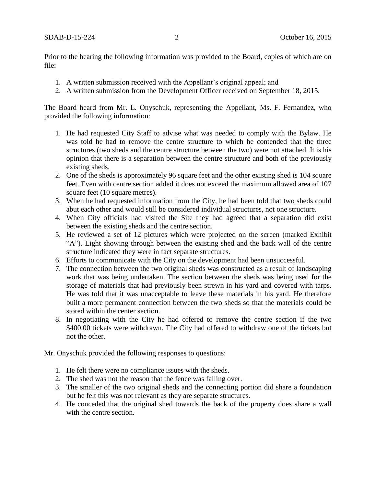Prior to the hearing the following information was provided to the Board, copies of which are on file:

- 1. A written submission received with the Appellant's original appeal; and
- 2. A written submission from the Development Officer received on September 18, 2015.

The Board heard from Mr. L. Onyschuk, representing the Appellant, Ms. F. Fernandez, who provided the following information:

- 1. He had requested City Staff to advise what was needed to comply with the Bylaw. He was told he had to remove the centre structure to which he contended that the three structures (two sheds and the centre structure between the two) were not attached. It is his opinion that there is a separation between the centre structure and both of the previously existing sheds.
- 2. One of the sheds is approximately 96 square feet and the other existing shed is 104 square feet. Even with centre section added it does not exceed the maximum allowed area of 107 square feet (10 square metres).
- 3. When he had requested information from the City, he had been told that two sheds could abut each other and would still be considered individual structures, not one structure.
- 4. When City officials had visited the Site they had agreed that a separation did exist between the existing sheds and the centre section.
- 5. He reviewed a set of 12 pictures which were projected on the screen (marked Exhibit "A"). Light showing through between the existing shed and the back wall of the centre structure indicated they were in fact separate structures.
- 6. Efforts to communicate with the City on the development had been unsuccessful.
- 7. The connection between the two original sheds was constructed as a result of landscaping work that was being undertaken. The section between the sheds was being used for the storage of materials that had previously been strewn in his yard and covered with tarps. He was told that it was unacceptable to leave these materials in his yard. He therefore built a more permanent connection between the two sheds so that the materials could be stored within the center section.
- 8. In negotiating with the City he had offered to remove the centre section if the two \$400.00 tickets were withdrawn. The City had offered to withdraw one of the tickets but not the other.

Mr. Onyschuk provided the following responses to questions:

- 1. He felt there were no compliance issues with the sheds.
- 2. The shed was not the reason that the fence was falling over.
- 3. The smaller of the two original sheds and the connecting portion did share a foundation but he felt this was not relevant as they are separate structures.
- 4. He conceded that the original shed towards the back of the property does share a wall with the centre section.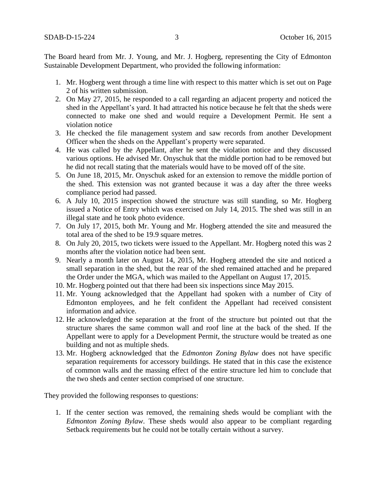The Board heard from Mr. J. Young, and Mr. J. Hogberg, representing the City of Edmonton Sustainable Development Department, who provided the following information:

- 1. Mr. Hogberg went through a time line with respect to this matter which is set out on Page 2 of his written submission.
- 2. On May 27, 2015, he responded to a call regarding an adjacent property and noticed the shed in the Appellant's yard. It had attracted his notice because he felt that the sheds were connected to make one shed and would require a Development Permit. He sent a violation notice
- 3. He checked the file management system and saw records from another Development Officer when the sheds on the Appellant's property were separated.
- 4. He was called by the Appellant, after he sent the violation notice and they discussed various options. He advised Mr. Onyschuk that the middle portion had to be removed but he did not recall stating that the materials would have to be moved off of the site.
- 5. On June 18, 2015, Mr. Onyschuk asked for an extension to remove the middle portion of the shed. This extension was not granted because it was a day after the three weeks compliance period had passed.
- 6. A July 10, 2015 inspection showed the structure was still standing, so Mr. Hogberg issued a Notice of Entry which was exercised on July 14, 2015. The shed was still in an illegal state and he took photo evidence.
- 7. On July 17, 2015, both Mr. Young and Mr. Hogberg attended the site and measured the total area of the shed to be 19.9 square metres.
- 8. On July 20, 2015, two tickets were issued to the Appellant. Mr. Hogberg noted this was 2 months after the violation notice had been sent.
- 9. Nearly a month later on August 14, 2015, Mr. Hogberg attended the site and noticed a small separation in the shed, but the rear of the shed remained attached and he prepared the Order under the MGA, which was mailed to the Appellant on August 17, 2015.
- 10. Mr. Hogberg pointed out that there had been six inspections since May 2015.
- 11. Mr. Young acknowledged that the Appellant had spoken with a number of City of Edmonton employees, and he felt confident the Appellant had received consistent information and advice.
- 12. He acknowledged the separation at the front of the structure but pointed out that the structure shares the same common wall and roof line at the back of the shed. If the Appellant were to apply for a Development Permit, the structure would be treated as one building and not as multiple sheds.
- 13. Mr. Hogberg acknowledged that the *Edmonton Zoning Bylaw* does not have specific separation requirements for accessory buildings. He stated that in this case the existence of common walls and the massing effect of the entire structure led him to conclude that the two sheds and center section comprised of one structure.

They provided the following responses to questions:

1. If the center section was removed, the remaining sheds would be compliant with the *Edmonton Zoning Bylaw*. These sheds would also appear to be compliant regarding Setback requirements but he could not be totally certain without a survey.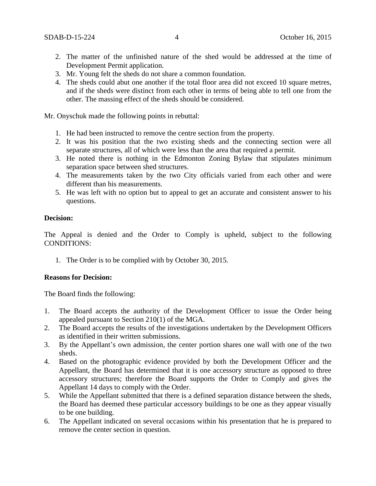- 2. The matter of the unfinished nature of the shed would be addressed at the time of Development Permit application.
- 3. Mr. Young felt the sheds do not share a common foundation.
- 4. The sheds could abut one another if the total floor area did not exceed 10 square metres, and if the sheds were distinct from each other in terms of being able to tell one from the other. The massing effect of the sheds should be considered.

Mr. Onyschuk made the following points in rebuttal:

- 1. He had been instructed to remove the centre section from the property.
- 2. It was his position that the two existing sheds and the connecting section were all separate structures, all of which were less than the area that required a permit.
- 3. He noted there is nothing in the Edmonton Zoning Bylaw that stipulates minimum separation space between shed structures.
- 4. The measurements taken by the two City officials varied from each other and were different than his measurements.
- 5. He was left with no option but to appeal to get an accurate and consistent answer to his questions.

#### **Decision:**

The Appeal is denied and the Order to Comply is upheld, subject to the following CONDITIONS:

1. The Order is to be complied with by October 30, 2015.

#### **Reasons for Decision:**

The Board finds the following:

- 1. The Board accepts the authority of the Development Officer to issue the Order being appealed pursuant to Section 210(1) of the MGA.
- 2. The Board accepts the results of the investigations undertaken by the Development Officers as identified in their written submissions.
- 3. By the Appellant's own admission, the center portion shares one wall with one of the two sheds.
- 4. Based on the photographic evidence provided by both the Development Officer and the Appellant, the Board has determined that it is one accessory structure as opposed to three accessory structures; therefore the Board supports the Order to Comply and gives the Appellant 14 days to comply with the Order.
- 5. While the Appellant submitted that there is a defined separation distance between the sheds, the Board has deemed these particular accessory buildings to be one as they appear visually to be one building.
- 6. The Appellant indicated on several occasions within his presentation that he is prepared to remove the center section in question.